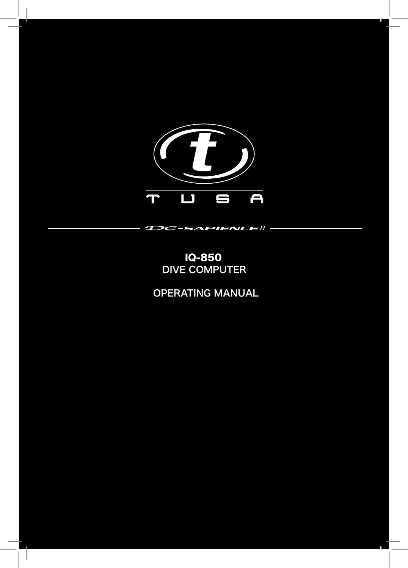

# DIVE COMPUTER IQ-850

**DC-SAPIENCE**II

OPERATING MANUAL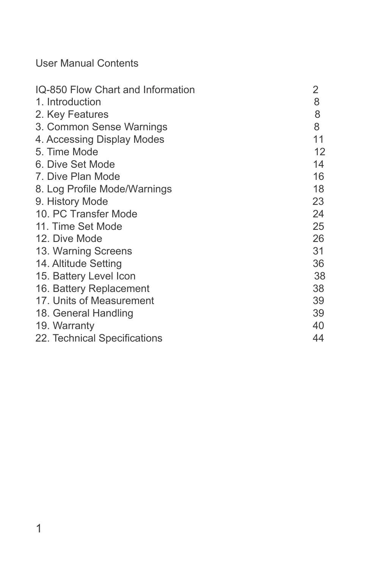User Manual Contents

| IQ-850 Flow Chart and Information | 2  |
|-----------------------------------|----|
| 1. Introduction                   | 8  |
| 2. Key Features                   | 8  |
| 3. Common Sense Warnings          | 8  |
| 4. Accessing Display Modes        | 11 |
| 5. Time Mode                      | 12 |
| 6. Dive Set Mode                  | 14 |
| 7. Dive Plan Mode                 | 16 |
| 8. Log Profile Mode/Warnings      | 18 |
| 9. History Mode                   | 23 |
| 10. PC Transfer Mode              | 24 |
| 11. Time Set Mode                 | 25 |
| 12. Dive Mode                     | 26 |
| 13. Warning Screens               | 31 |
| 14. Altitude Setting              | 36 |
| 15. Battery Level Icon            | 38 |
| 16. Battery Replacement           | 38 |
| 17. Units of Measurement          | 39 |
| 18. General Handling              | 39 |
| 19. Warranty                      | 40 |
| 22. Technical Specifications      | 44 |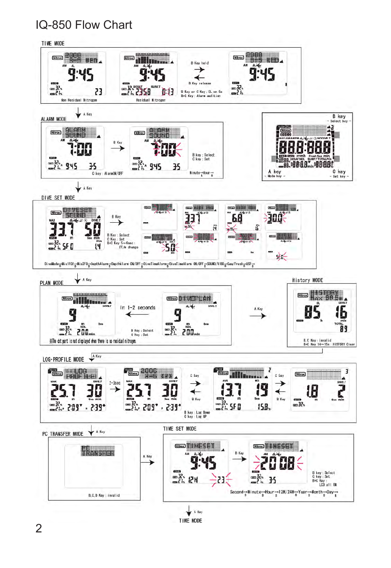# IQ-850 Flow Chart



TIME MODE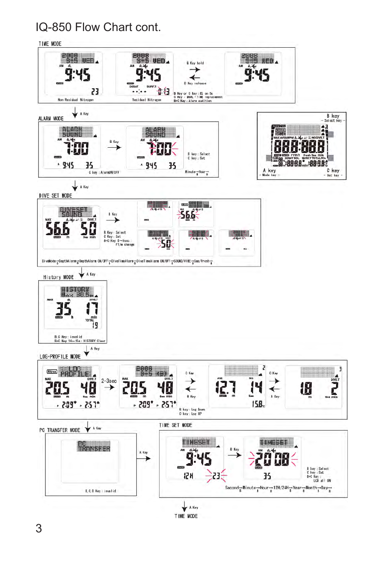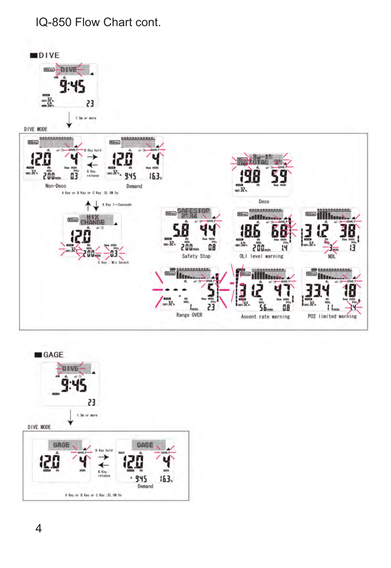

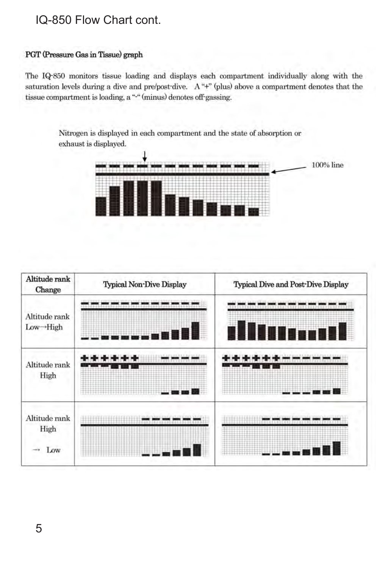### PGT (Pressure Gas in Tissue) graph

The IQ-850 monitors tissue loading and displays each compartment individually along with the saturation levels during a dive and pre/post-dive. A "+" (plus) above a compartment denotes that the tissue compartment is loading, a "-" (minus) denotes off-gassing.

Nitrogen is displayed in each compartment and the state of absorption or exhaust is displayed.



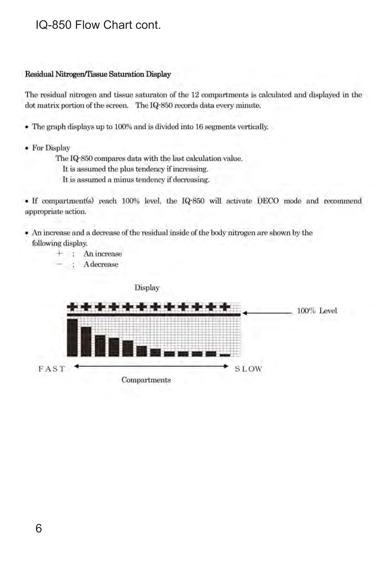### Residual Nitrogen/Tissue Saturation Display

The residual nitrogen and tissue saturaton of the 12 compartments is calculated and displayed in the dot matrix portion of the screen. The IQ-850 records data every minute.

- The graph displays up to 100% and is divided into 16 segments vertically.
- For Display
	- The IQ-850 compares data with the last calculation value.
		- It is assumed the plus tendency if increasing.
		- It is assumed a minus tendency if decreasing.

• If compartment(s) reach 100% level, the IQ-850 will activate DECO mode and recommend appropriate action.

- An increase and a decrease of the residual inside of the body nitrogen are shown by the following display.
	- + ; An increase
		- Adecrease

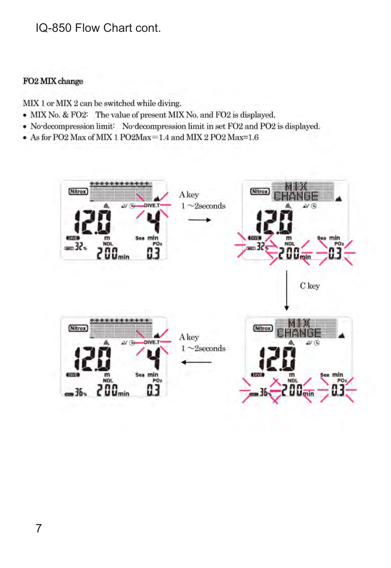### FO2 MIX change

MIX 1 or MIX 2 can be switched while diving.

- MIX No. & FO2: The value of present MIX No. and FO2 is displayed.
- No-decompression limit: No-decompression limit in set FO2 and PO2 is displayed.
- As for PO2 Max of MIX 1 PO2Max=1.4 and MIX 2 PO2 Max=1.6

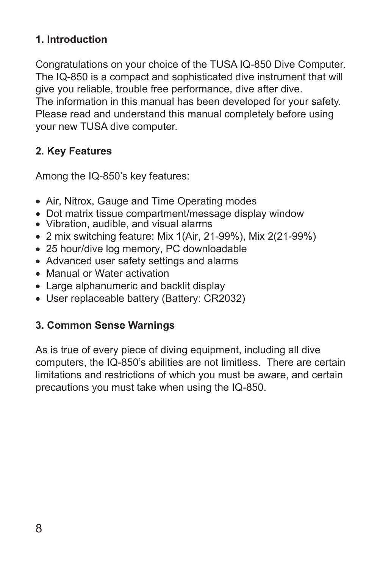# <span id="page-8-0"></span>**1. Introduction**

Congratulations on your choice of the TUSA IQ-850 Dive Computer. The IQ-850 is a compact and sophisticated dive instrument that will give you reliable, trouble free performance, dive after dive. The information in this manual has been developed for your safety. Please read and understand this manual completely before using your new TUSA dive computer.

# **2. Key Features**

Among the IQ-850's key features:

- Air, Nitrox, Gauge and Time Operating modes
- Dot matrix tissue compartment/message display window
- Vibration, audible, and visual alarms
- 2 mix switching feature: Mix 1(Air, 21-99%), Mix 2(21-99%)
- 25 hour/dive log memory, PC downloadable
- Advanced user safety settings and alarms
- Manual or Water activation
- Large alphanumeric and backlit display
- User replaceable battery (Battery: CR2032)

# **3. Common Sense Warnings**

As is true of every piece of diving equipment, including all dive computers, the IQ-850's abilities are not limitless. There are certain limitations and restrictions of which you must be aware, and certain precautions you must take when using the IQ-850.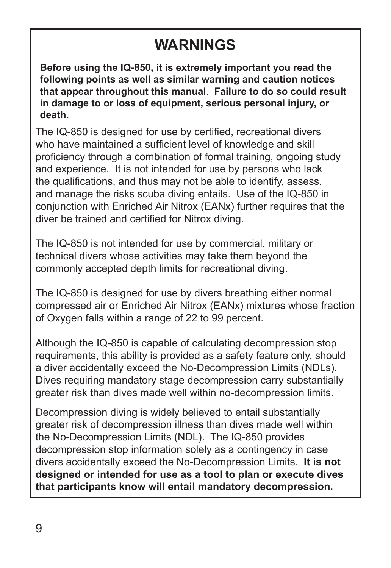# **WARNINGS**

**Before using the IQ-850, it is extremely important you read the following points as well as similar warning and caution notices that appear throughout this manual**. **Failure to do so could result in damage to or loss of equipment, serious personal injury, or death.**

The IQ-850 is designed for use by certified, recreational divers who have maintained a sufficient level of knowledge and skill proficiency through a combination of formal training, ongoing study and experience. It is not intended for use by persons who lack the qualifications, and thus may not be able to identify, assess, and manage the risks scuba diving entails. Use of the IQ-850 in conjunction with Enriched Air Nitrox (EANx) further requires that the diver be trained and certified for Nitrox diving.

The IQ-850 is not intended for use by commercial, military or technical divers whose activities may take them beyond the commonly accepted depth limits for recreational diving.

The IQ-850 is designed for use by divers breathing either normal compressed air or Enriched Air Nitrox (EANx) mixtures whose fraction of Oxygen falls within a range of 22 to 99 percent.

Although the IQ-850 is capable of calculating decompression stop requirements, this ability is provided as a safety feature only, should a diver accidentally exceed the No-Decompression Limits (NDLs). Dives requiring mandatory stage decompression carry substantially greater risk than dives made well within no-decompression limits.

Decompression diving is widely believed to entail substantially greater risk of decompression illness than dives made well within the No-Decompression Limits (NDL). The IQ-850 provides decompression stop information solely as a contingency in case divers accidentally exceed the No-Decompression Limits. **It is not designed or intended for use as a tool to plan or execute dives that participants know will entail mandatory decompression.**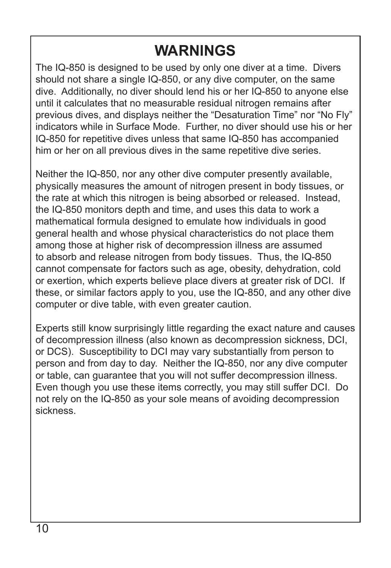# **WARNINGS**

The IQ-850 is designed to be used by only one diver at a time. Divers should not share a single IQ-850, or any dive computer, on the same dive. Additionally, no diver should lend his or her IQ-850 to anyone else until it calculates that no measurable residual nitrogen remains after previous dives, and displays neither the "Desaturation Time" nor "No Fly" indicators while in Surface Mode. Further, no diver should use his or her IQ-850 for repetitive dives unless that same IQ-850 has accompanied him or her on all previous dives in the same repetitive dive series.

Neither the IQ-850, nor any other dive computer presently available, physically measures the amount of nitrogen present in body tissues, or the rate at which this nitrogen is being absorbed or released. Instead, the IQ-850 monitors depth and time, and uses this data to work a mathematical formula designed to emulate how individuals in good general health and whose physical characteristics do not place them among those at higher risk of decompression illness are assumed to absorb and release nitrogen from body tissues. Thus, the IQ-850 cannot compensate for factors such as age, obesity, dehydration, cold or exertion, which experts believe place divers at greater risk of DCI. If these, or similar factors apply to you, use the IQ-850, and any other dive computer or dive table, with even greater caution.

Experts still know surprisingly little regarding the exact nature and causes of decompression illness (also known as decompression sickness, DCI, or DCS). Susceptibility to DCI may vary substantially from person to person and from day to day. Neither the IQ-850, nor any dive computer or table, can guarantee that you will not suffer decompression illness. Even though you use these items correctly, you may still suffer DCI. Do not rely on the IQ-850 as your sole means of avoiding decompression sickness.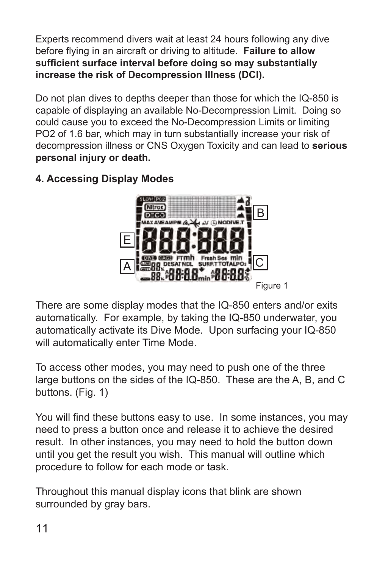<span id="page-11-0"></span>Experts recommend divers wait at least 24 hours following any dive before flying in an aircraft or driving to altitude. **Failure to allow sufficient surface interval before doing so may substantially increase the risk of Decompression Illness (DCI).**

Do not plan dives to depths deeper than those for which the IQ-850 is capable of displaying an available No-Decompression Limit. Doing so could cause you to exceed the No-Decompression Limits or limiting PO2 of 1.6 bar, which may in turn substantially increase your risk of decompression illness or CNS Oxygen Toxicity and can lead to **serious personal injury or death.**

### **4. Accessing Display Modes**



There are some display modes that the IQ-850 enters and/or exits automatically. For example, by taking the IQ-850 underwater, you automatically activate its Dive Mode. Upon surfacing your IQ-850 will automatically enter Time Mode.

To access other modes, you may need to push one of the three large buttons on the sides of the IQ-850. These are the A, B, and C buttons. (Fig. 1)

You will find these buttons easy to use. In some instances, you may need to press a button once and release it to achieve the desired result. In other instances, you may need to hold the button down until you get the result you wish. This manual will outline which procedure to follow for each mode or task.

Throughout this manual display icons that blink are shown surrounded by gray bars.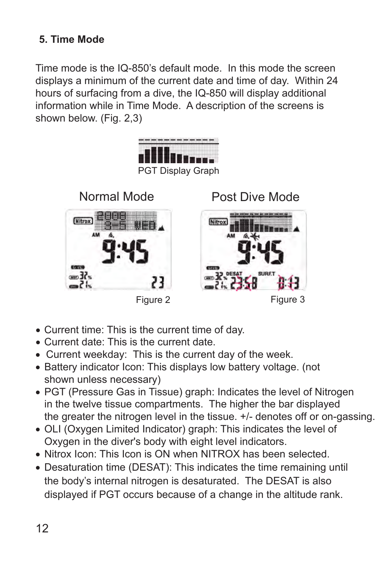## <span id="page-12-0"></span>**5. Time Mode**

Time mode is the IQ-850's default mode. In this mode the screen displays a minimum of the current date and time of day. Within 24 hours of surfacing from a dive, the IQ-850 will display additional information while in Time Mode. A description of the screens is shown below. (Fig. 2,3)



- Current time: This is the current time of day.
- Current date: This is the current date.
- Current weekday: This is the current day of the week.
- Battery indicator Icon: This displays low battery voltage. (not shown unless necessary)
- PGT (Pressure Gas in Tissue) graph: Indicates the level of Nitrogen in the twelve tissue compartments. The higher the bar displayed the greater the nitrogen level in the tissue. +/- denotes off or on-gassing.
- OLI (Oxygen Limited Indicator) graph: This indicates the level of Oxygen in the diver's body with eight level indicators.
- Nitrox Icon: This Icon is ON when NITROX has been selected.
- Desaturation time (DESAT): This indicates the time remaining until the body's internal nitrogen is desaturated. The DESAT is also displayed if PGT occurs because of a change in the altitude rank.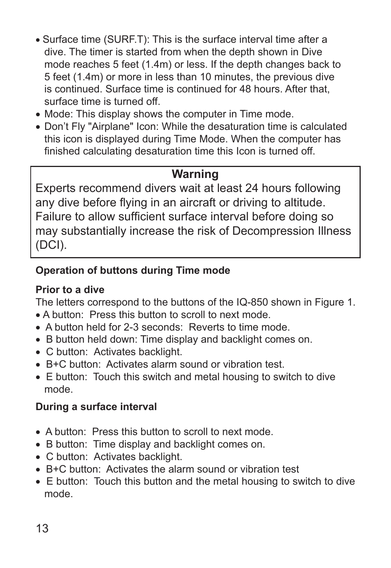- Surface time (SURF.T): This is the surface interval time after a dive. The timer is started from when the depth shown in Dive mode reaches 5 feet (1.4m) or less. If the depth changes back to 5 feet (1.4m) or more in less than 10 minutes, the previous dive is continued. Surface time is continued for 48 hours. After that surface time is turned off.
- Mode: This display shows the computer in Time mode.
- Don't Fly "Airplane" Icon: While the desaturation time is calculated this icon is displayed during Time Mode. When the computer has finished calculating desaturation time this Icon is turned off.

# **Warning**

Experts recommend divers wait at least 24 hours following any dive before flying in an aircraft or driving to altitude. Failure to allow sufficient surface interval before doing so may substantially increase the risk of Decompression Illness (DCI).

# **Operation of buttons during Time mode**

## **Prior to a dive**

The letters correspond to the buttons of the IQ-850 shown in Figure 1.

- A button: Press this button to scroll to next mode.
- A button held for 2-3 seconds: Reverts to time mode.
- B button held down: Time display and backlight comes on.
- C button: Activates backlight.
- B+C button: Activates alarm sound or vibration test.
- E button: Touch this switch and metal housing to switch to dive mode.

# **During a surface interval**

- A button: Press this button to scroll to next mode.
- B button: Time display and backlight comes on.
- C button: Activates backlight.
- B+C button: Activates the alarm sound or vibration test
- E button: Touch this button and the metal housing to switch to dive mode.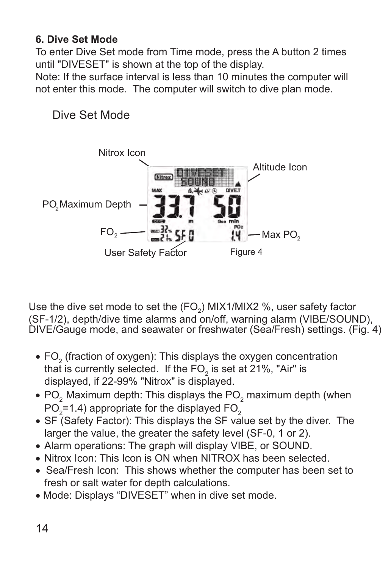### <span id="page-14-0"></span>**6. Dive Set Mode**

To enter Dive Set mode from Time mode, press the A button 2 times until "DIVESET" is shown at the top of the display.

Note: If the surface interval is less than 10 minutes the computer will not enter this mode. The computer will switch to dive plan mode.

# Dive Set Mode



Use the dive set mode to set the (FO<sub>2</sub>) MIX1/MIX2 %, user safety factor (SF-1/2), depth/dive time alarms and on/off, warning alarm (VIBE/SOUND), DIVE/Gauge mode, and seawater or freshwater (Sea/Fresh) settings. (Fig. 4)

- $FO_2$  (fraction of oxygen): This displays the oxygen concentration that is currently selected. If the FO $_{\textrm{\tiny{2}}}$  is set at 21%, "Air" is displayed, if 22-99% "Nitrox" is displayed.
- $\bullet$  PO<sub>2</sub> Maximum depth: This displays the PO<sub>2</sub> maximum depth (when  $PO_{2}$ =1.4) appropriate for the displayed FO<sub>2</sub>
- SF (Safety Factor): This displays the SF value set by the diver. The larger the value, the greater the safety level (SF-0, 1 or 2).
- Alarm operations: The graph will display VIBE, or SOUND.
- Nitrox Icon: This Icon is ON when NITROX has been selected.
- Sea/Fresh Icon: This shows whether the computer has been set to fresh or salt water for depth calculations.
- Mode: Displays "DIVESET" when in dive set mode.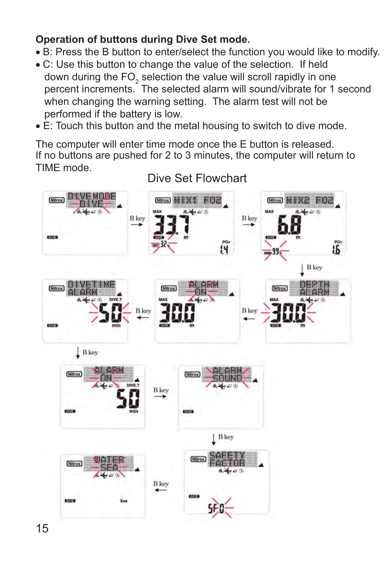### **Operation of buttons during Dive Set mode.**

- Β: Press the B button to enter/select the function you would like to modify.
- C: Use this button to change the value of the selection. If held down during the FO<sub>2</sub> selection the value will scroll rapidly in one percent increments. The selected alarm will sound/vibrate for 1 second when changing the warning setting. The alarm test will not be performed if the battery is low.
- E: Touch this button and the metal housing to switch to dive mode.

The computer will enter time mode once the E button is released. If no buttons are pushed for 2 to 3 minutes, the computer will return to TIME mode.



Dive Set Flowchart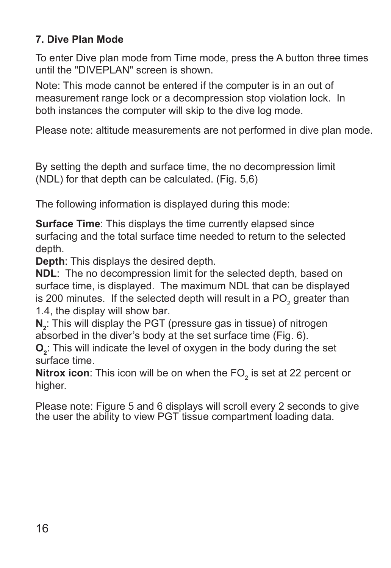## <span id="page-16-0"></span>**7. Dive Plan Mode**

To enter Dive plan mode from Time mode, press the A button three times until the "DIVEPLAN" screen is shown.

Note: This mode cannot be entered if the computer is in an out of measurement range lock or a decompression stop violation lock. In both instances the computer will skip to the dive log mode.

Please note: altitude measurements are not performed in dive plan mode.

By setting the depth and surface time, the no decompression limit (NDL) for that depth can be calculated. (Fig. 5,6)

The following information is displayed during this mode:

**Surface Time**: This displays the time currently elapsed since surfacing and the total surface time needed to return to the selected depth.

**Depth**: This displays the desired depth.

**NDL**: The no decompression limit for the selected depth, based on surface time, is displayed. The maximum NDL that can be displayed is 200 minutes. If the selected depth will result in a PO<sub>2</sub> greater than 1.4, the display will show bar.

**N**<sub>2</sub>: This will display the PGT (pressure gas in tissue) of nitrogen absorbed in the diver's body at the set surface time (Fig. 6).

**O**<sub>2</sub>: This will indicate the level of oxygen in the body during the set surface time.

**Nitrox icon**: This icon will be on when the FO<sub>2</sub> is set at 22 percent or higher.

Please note: Figure 5 and 6 displays will scroll every 2 seconds to give the user the ability to view PGT tissue compartment loading data.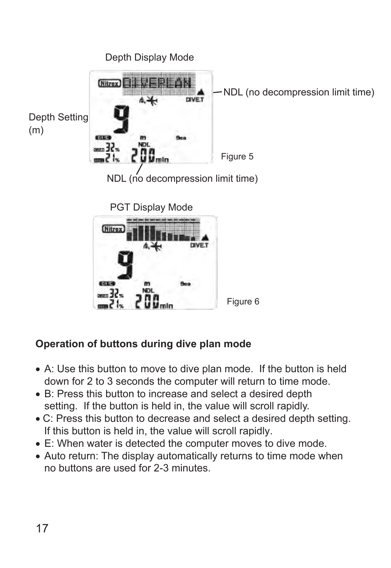

## **Operation of buttons during dive plan mode**

- A: Use this button to move to dive plan mode. If the button is held down for 2 to 3 seconds the computer will return to time mode.
- B: Press this button to increase and select a desired depth setting. If the button is held in, the value will scroll rapidly.
- C: Press this button to decrease and select a desired depth setting. If this button is held in, the value will scroll rapidly.
- Ε: When water is detected the computer moves to dive mode.
- Auto return: The display automatically returns to time mode when no buttons are used for 2-3 minutes.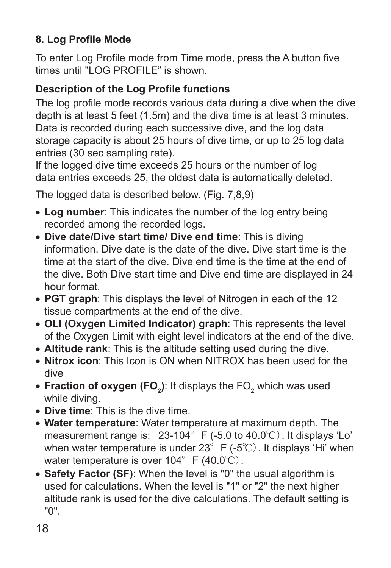# <span id="page-18-0"></span>**8. Log Profile Mode**

To enter Log Profile mode from Time mode, press the A button five times until "LOG PROFILE" is shown.

# **Description of the Log Profile functions**

The log profile mode records various data during a dive when the dive depth is at least 5 feet (1.5m) and the dive time is at least 3 minutes. Data is recorded during each successive dive, and the log data storage capacity is about 25 hours of dive time, or up to 25 log data entries (30 sec sampling rate).

If the logged dive time exceeds 25 hours or the number of log data entries exceeds 25, the oldest data is automatically deleted.

The logged data is described below. (Fig. 7,8,9)

- **Log number**: This indicates the number of the log entry being recorded among the recorded logs.
- **Dive date/Dive start time/ Dive end time**: This is diving information. Dive date is the date of the dive. Dive start time is the time at the start of the dive. Dive end time is the time at the end of the dive. Both Dive start time and Dive end time are displayed in 24 hour format.
- **PGT graph**: This displays the level of Nitrogen in each of the 12 tissue compartments at the end of the dive.
- **OLI (Oxygen Limited Indicator) graph**: This represents the level of the Oxygen Limit with eight level indicators at the end of the dive.
- **Altitude rank**: This is the altitude setting used during the dive.
- **Nitrox icon**: This Icon is ON when NITROX has been used for the dive
- $\bullet$  Fraction of oxygen (FO<sub>2</sub>): It displays the FO<sub>2</sub> which was used while diving.
- **Dive time**: This is the dive time.
- **Water temperature**: Water temperature at maximum depth. The measurement range is: 23-104°F (-5.0 to 40.0℃). It displays 'Lo' when water temperature is under 23° F (-5℃). It displays 'Hi' when water temperature is over  $104^\circ$  F (40.0°C).
- **Safety Factor (SF)**: When the level is "0" the usual algorithm is used for calculations. When the level is "1" or "2" the next higher altitude rank is used for the dive calculations. The default setting is "0".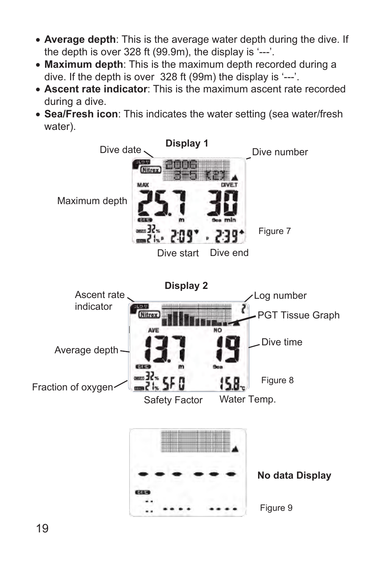- **Average depth**: This is the average water depth during the dive. If the depth is over 328 ft (99.9m), the display is '---'.
- **Maximum depth**: This is the maximum depth recorded during a dive. If the depth is over 328 ft (99m) the display is '---'.
- **Ascent rate indicator**: This is the maximum ascent rate recorded during a dive.
- **Sea/Fresh icon**: This indicates the water setting (sea water/fresh water).

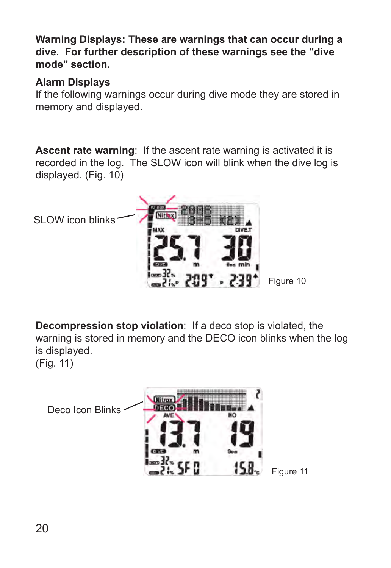**Warning Displays: These are warnings that can occur during a dive. For further description of these warnings see the "dive mode" section.**

### **Alarm Displays**

If the following warnings occur during dive mode they are stored in memory and displayed.

**Ascent rate warning**: If the ascent rate warning is activated it is recorded in the log. The SLOW icon will blink when the dive log is displayed. (Fig. 10)



**Decompression stop violation**: If a deco stop is violated, the warning is stored in memory and the DECO icon blinks when the log is displayed. (Fig. 11)

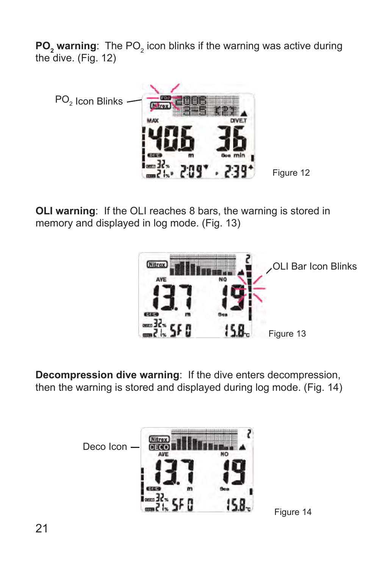**PO<sub>2</sub>** warning: The PO<sub>2</sub> icon blinks if the warning was active during the dive. (Fig. 12)



**OLI warning:** If the OLI reaches 8 bars, the warning is stored in memory and displayed in log mode. (Fig. 13)



**Decompression dive warning**: If the dive enters decompression, then the warning is stored and displayed during log mode. (Fig. 14)

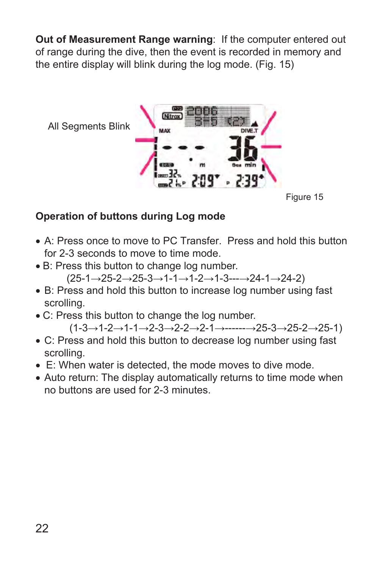**Out of Measurement Range warning**: If the computer entered out of range during the dive, then the event is recorded in memory and the entire display will blink during the log mode. (Fig. 15)



### **Operation of buttons during Log mode**

- Α: Press once to move to PC Transfer. Press and hold this button for 2-3 seconds to move to time mode.
- Β: Press this button to change log number. (25-1→25-2→25-3→1-1→1-2→1-3---→24-1→24-2)
- Β: Press and hold this button to increase log number using fast scrolling.
- C: Press this button to change the log number.

 $(1-3\rightarrow1-2\rightarrow1-1\rightarrow2-3\rightarrow2-2\rightarrow2-1\rightarrow---25-3\rightarrow25-2\rightarrow25-1)$ 

- C: Press and hold this button to decrease log number using fast scrolling.
- Ε: When water is detected, the mode moves to dive mode.
- Auto return: The display automatically returns to time mode when no buttons are used for 2-3 minutes.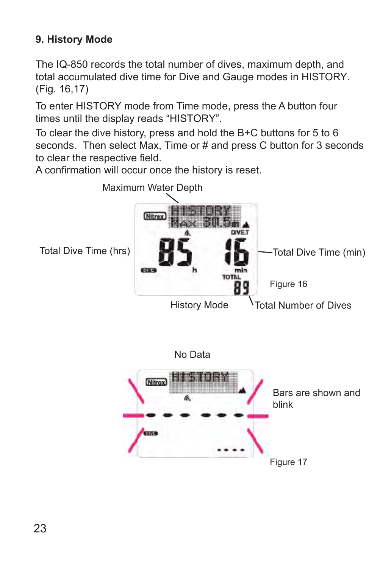# **9. History Mode**

The IQ-850 records the total number of dives, maximum depth, and total accumulated dive time for Dive and Gauge modes in HISTORY. (Fig. 16,17)

To enter HISTORY mode from Time mode, press the A button four times until the display reads "HISTORY".

To clear the dive history, press and hold the B+C buttons for 5 to 6 seconds. Then select Max, Time or # and press C button for 3 seconds to clear the respective field.

A confirmation will occur once the history is reset.



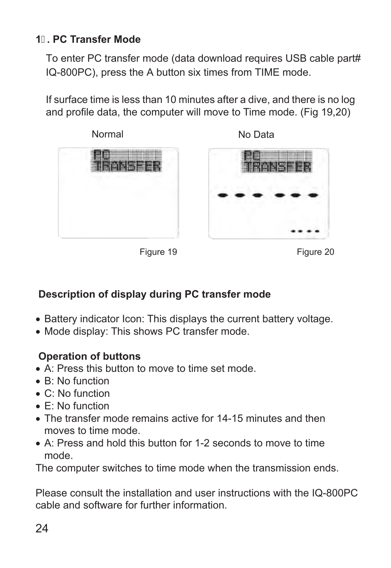## <span id="page-24-0"></span>**1. PC Transfer Mode**

To enter PC transfer mode (data download requires USB cable part# IQ-800PC), press the A button six times from TIME mode.

If surface time is less than 10 minutes after a dive, and there is no log and profile data, the computer will move to Time mode. (Fig 19,20)





Figure 19 Figure 20

## **Description of display during PC transfer mode**

- Battery indicator Icon: This displays the current battery voltage.
- Mode display: This shows PC transfer mode.

### **Operation of buttons**

- Α: Press this button to move to time set mode.
- Β: No function
- C: No function
- Ε: No function
- Τhe transfer mode remains active for 14-15 minutes and then moves to time mode.
- Α: Press and hold this button for 1-2 seconds to move to time mode.

The computer switches to time mode when the transmission ends.

Please consult the installation and user instructions with the IQ-800PC cable and software for further information.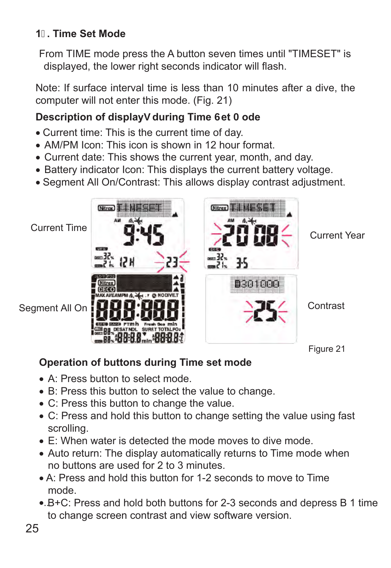# <span id="page-25-0"></span>**1. Time Set Mode**

From TIME mode press the A button seven times until "TIMESET" is displayed, the lower right seconds indicator will flash.

Note: If surface interval time is less than 10 minutes after a dive, the computer will not enter this mode. (Fig. 21)

# **Description of displayg during Time Get A ode**

- Current time: This is the current time of day.
- AM/PM Icon: This icon is shown in 12 hour format.
- Current date: This shows the current year, month, and day.
- Battery indicator Icon: This displays the current battery voltage.
- Segment All On/Contrast: This allows display contrast adjustment.





# **Operation of buttons during Time set mode**

- Α: Press button to select mode.
- Β: Press this button to select the value to change.
- C: Press this button to change the value.
- C: Press and hold this button to change setting the value using fast scrolling.
- Ε: When water is detected the mode moves to dive mode.
- Auto return: The display automatically returns to Time mode when no buttons are used for 2 to 3 minutes.
- A: Press and hold this button for 1-2 seconds to move to Time mode.
- B+C: Press and hold both buttons for 2-3 seconds and depress B 1 time •.. to change screen contrast and view software version.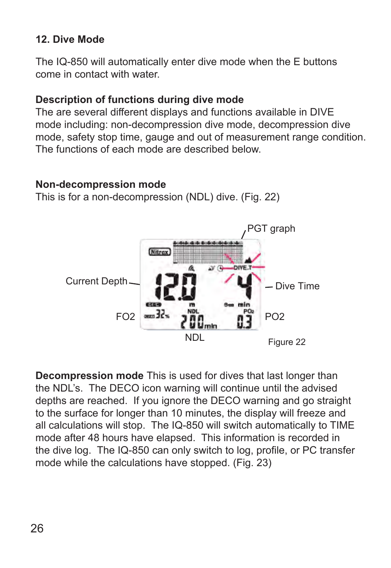## <span id="page-26-0"></span>**12. Dive Mode**

The IQ-850 will automatically enter dive mode when the E buttons come in contact with water.

### **Description of functions during dive mode**

The are several different displays and functions available in DIVE mode including: non-decompression dive mode, decompression dive mode, safety stop time, gauge and out of measurement range condition. The functions of each mode are described below.

### **Non-decompression mode**

This is for a non-decompression (NDL) dive. (Fig. 22)



**Decompression mode** This is used for dives that last longer than the NDL's. The DECO icon warning will continue until the advised depths are reached. If you ignore the DECO warning and go straight to the surface for longer than 10 minutes, the display will freeze and all calculations will stop. The IQ-850 will switch automatically to TIME mode after 48 hours have elapsed. This information is recorded in the dive log. The IQ-850 can only switch to log, profile, or PC transfer mode while the calculations have stopped. (Fig. 23)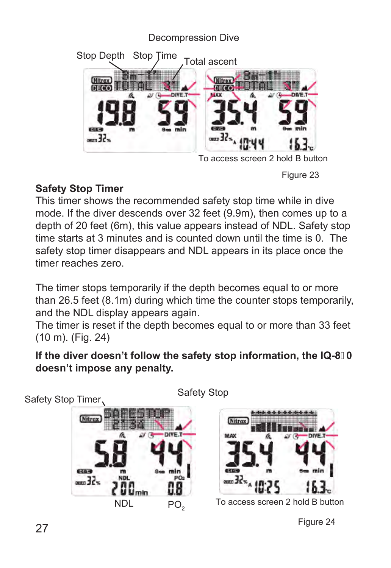### Decompression Dive Stop Depth Stop Time Total ascent **Nitrox Mitrax** DECO DIVE.T 6304  $-55$  $-55$ To access screen 2 hold B button

Figure 23

# **Safety Stop Timer**

This timer shows the recommended safety stop time while in dive mode. If the diver descends over 32 feet (9.9m), then comes up to a depth of 20 feet (6m), this value appears instead of NDL. Safety stop time starts at 3 minutes and is counted down until the time is 0. The safety stop timer disappears and NDL appears in its place once the timer reaches zero.

The timer stops temporarily if the depth becomes equal to or more than 26.5 feet (8.1m) during which time the counter stops temporarily, and the NDL display appears again.

The timer is reset if the depth becomes equal to or more than 33 feet (10 m). (Fig. 24)

## **If the diver doesn't follow the safety stop information, the IQ-80 doesn't impose any penalty.**

Safety Stop Timer,



Safety Stop



To access screen 2 hold B button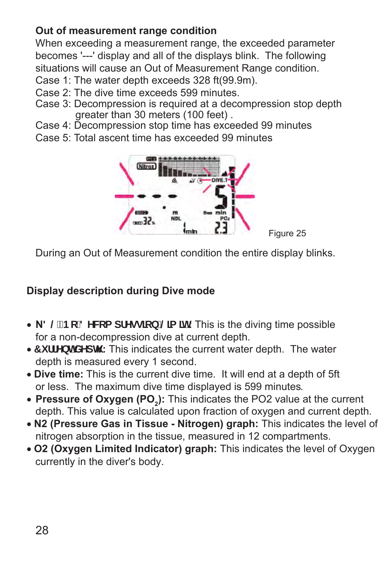# **Out of measurement range condition**

When exceeding a measurement range, the exceeded parameter becomes '---' display and all of the displays blink. The following situations will cause an Out of Measurement Range condition.

- Case 1: The water depth exceeds 328 ft(99.9m).
- Case 2: The dive time exceeds 599 minutes.
- Case 3: Decompression is required at a decompression stop depth greater than 30 meters (100 feet) .
- Case 4: Decompression stop time has exceeded 99 minutes
- Case 5: Total ascent time has exceeded 99 minutes



During an Out of Measurement condition the entire display blinks.

# **Display description during Dive mode**

- N8 @fBc 8 YW: a df Ygglcb | @a lit: This is the diving time possible for a non-decompression dive at current depth.
- **7 i ff Ybh XYdh**: This indicates the current water depth. The water depth is measured every 1 second.
- **Dive time:** This is the current dive time. It will end at a depth of 5ft or less. The maximum dive time displayed is 599 minutes.
- **Pressure of Oxygen (PO<sub>2</sub>):** This indicates the PO2 value at the current depth. This value is calculated upon fraction of oxygen and current depth.
- **N2 (Pressure Gas in Tissue Nitrogen) graph:** This indicates the level of nitrogen absorption in the tissue, measured in 12 compartments.
- **O2 (Oxygen Limited Indicator) graph:** This indicates the level of Oxygen currently in the diver's body.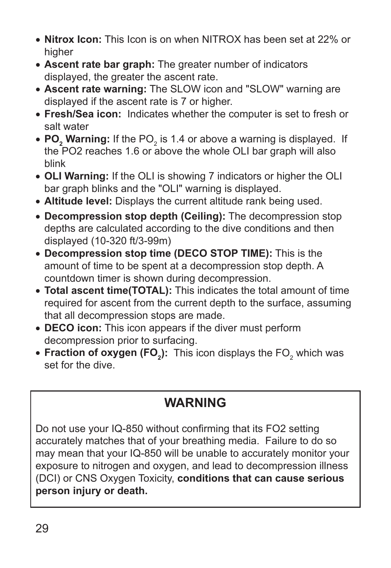- **Nitrox Icon:** This Icon is on when NITROX has been set at 22% or higher
- **Ascent rate bar graph:** The greater number of indicators displayed, the greater the ascent rate.
- **Ascent rate warning:** The SLOW icon and "SLOW" warning are displayed if the ascent rate is 7 or higher.
- **Fresh/Sea icon:** Indicates whether the computer is set to fresh or salt water
- $\bullet$  PO<sub>2</sub> Warning: If the PO<sub>2</sub> is 1.4 or above a warning is displayed. If the PO2 reaches 1.6 or above the whole OLI bar graph will also blink
- **OLI Warning:** If the OLI is showing 7 indicators or higher the OLI bar graph blinks and the "OLI" warning is displayed.
- **Altitude level:** Displays the current altitude rank being used.
- **Decompression stop depth (Ceiling):** The decompression stop depths are calculated according to the dive conditions and then displayed (10-320 ft/3-99m)
- **Decompression stop time (DECO STOP TIME):** This is the amount of time to be spent at a decompression stop depth. A countdown timer is shown during decompression.
- **Total ascent time(TOTAL):** This indicates the total amount of time required for ascent from the current depth to the surface, assuming that all decompression stops are made.
- **DECO icon:** This icon appears if the diver must perform decompression prior to surfacing.
- Fraction of oxygen (FO<sub>2</sub>): This icon displays the FO<sub>2</sub> which was set for the dive.

# **WARNING**

Do not use your IQ-850 without confirming that its FO2 setting accurately matches that of your breathing media. Failure to do so may mean that your IQ-850 will be unable to accurately monitor your exposure to nitrogen and oxygen, and lead to decompression illness (DCI) or CNS Oxygen Toxicity, **conditions that can cause serious person injury or death.**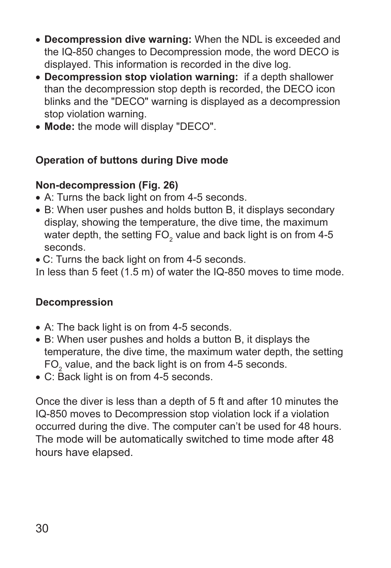- **Decompression dive warning:** When the NDL is exceeded and the IQ-850 changes to Decompression mode, the word DECO is displayed. This information is recorded in the dive log.
- **Decompression stop violation warning:** if a depth shallower than the decompression stop depth is recorded, the DECO icon blinks and the "DECO" warning is displayed as a decompression stop violation warning.
- **Mode:** the mode will display "DECO".

### **Operation of buttons during Dive mode**

### **Non-decompression (Fig. 26)**

- A: Turns the back light on from 4-5 seconds.
- Β: When user pushes and holds button B, it displays secondary display, showing the temperature, the dive time, the maximum water depth, the setting FO $_{\textrm{\tiny{2}}}$  value and back light is on from 4-5 seconds.
- C: Turns the back light on from 4-5 seconds.

In less than 5 feet (1.5 m) of water the IQ-850 moves to time mode.

### **Decompression**

- A: The back light is on from 4-5 seconds.
- Β: When user pushes and holds a button B, it displays the temperature, the dive time, the maximum water depth, the setting  $FO_2$  value, and the back light is on from 4-5 seconds.
- C: Back light is on from 4-5 seconds.

Once the diver is less than a depth of 5 ft and after 10 minutes the IQ-850 moves to Decompression stop violation lock if a violation occurred during the dive. The computer can't be used for 48 hours. The mode will be automatically switched to time mode after 48 hours have elapsed.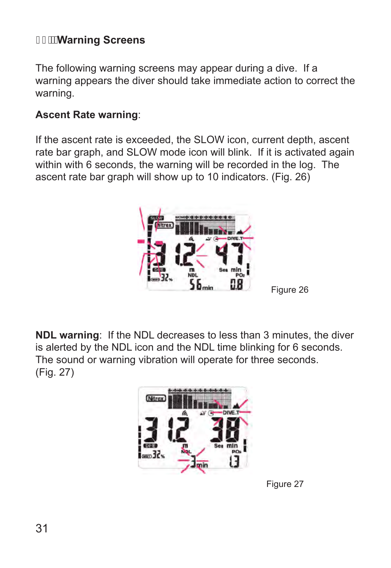# **Warning Screens**

The following warning screens may appear during a dive. If a warning appears the diver should take immediate action to correct the warning.

### **Ascent Rate warning**:

If the ascent rate is exceeded, the SLOW icon, current depth, ascent rate bar graph, and SLOW mode icon will blink. If it is activated again within with 6 seconds, the warning will be recorded in the log. The ascent rate bar graph will show up to 10 indicators. (Fig. 26)



**NDL warning**: If the NDL decreases to less than 3 minutes, the diver is alerted by the NDL icon and the NDL time blinking for 6 seconds. The sound or warning vibration will operate for three seconds. (Fig. 27)



Figure 27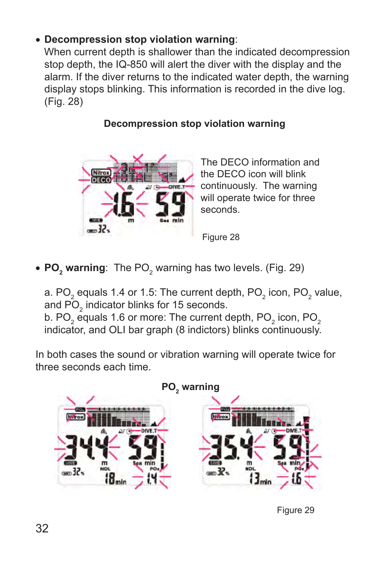# • **Decompression stop violation warning**:

 When current depth is shallower than the indicated decompression stop depth, the IQ-850 will alert the diver with the display and the alarm. If the diver returns to the indicated water depth, the warning display stops blinking. This information is recorded in the dive log. (Fig. 28)

## **Decompression stop violation warning**



The DECO information and the DECO icon will blink continuously. The warning will operate twice for three seconds.

Figure 28

• PO<sub>2</sub> warning: The PO<sub>2</sub> warning has two levels. (Fig. 29)

a. PO<sub>2</sub> equals 1.4 or 1.5: The current depth, PO<sub>2</sub> icon, PO<sub>2</sub> value, and PO $_2$  indicator blinks for 15 seconds. b. PO $_2$  equals 1.6 or more: The current depth, PO $_2$  icon, PO $_2$ 

indicator, and OLI bar graph (8 indictors) blinks continuously.

In both cases the sound or vibration warning will operate twice for three seconds each time.



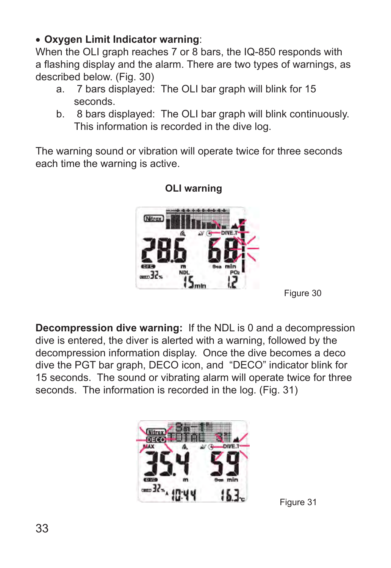### • **Oxygen Limit Indicator warning**:

When the OLI graph reaches 7 or 8 bars, the IQ-850 responds with a flashing display and the alarm. There are two types of warnings, as described below. (Fig. 30)

- a. 7 bars displayed: The OLI bar graph will blink for 15 seconds.
- b. 8 bars displayed: The OLI bar graph will blink continuously. This information is recorded in the dive log.

The warning sound or vibration will operate twice for three seconds each time the warning is active.



### **OLI warning**

**Decompression dive warning:** If the NDL is 0 and a decompression dive is entered, the diver is alerted with a warning, followed by the decompression information display. Once the dive becomes a deco dive the PGT bar graph, DECO icon, and "DECO" indicator blink for 15 seconds. The sound or vibrating alarm will operate twice for three seconds. The information is recorded in the log. (Fig. 31)



Figure 31

Figure 30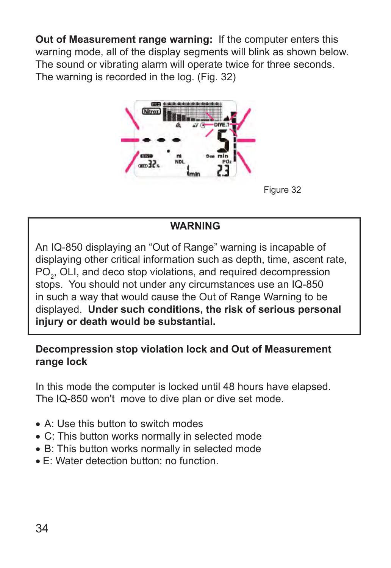**Out of Measurement range warning:** If the computer enters this warning mode, all of the display segments will blink as shown below. The sound or vibrating alarm will operate twice for three seconds. The warning is recorded in the log. (Fig. 32)



Figure 32

### **WARNING**

An IQ-850 displaying an "Out of Range" warning is incapable of displaying other critical information such as depth, time, ascent rate,  $\mathsf{PO}_{2}$ , OLI, and deco stop violations, and required decompression stops. You should not under any circumstances use an IQ-850 in such a way that would cause the Out of Range Warning to be displayed. **Under such conditions, the risk of serious personal injury or death would be substantial.**

### **Decompression stop violation lock and Out of Measurement range lock**

In this mode the computer is locked until 48 hours have elapsed. The IQ-850 won't move to dive plan or dive set mode.

- Α: Use this button to switch modes
- C: This button works normally in selected mode
- Β: This button works normally in selected mode
- Ε: Water detection button: no function.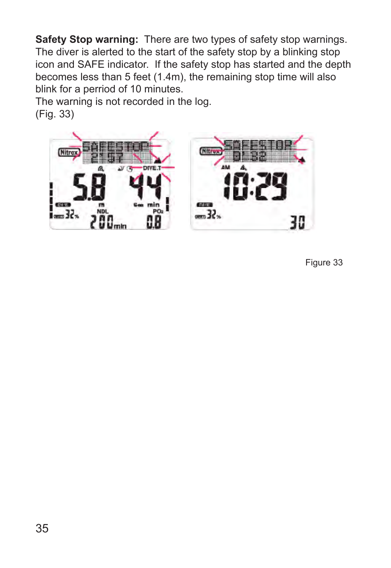**Safety Stop warning:** There are two types of safety stop warnings. The diver is alerted to the start of the safety stop by a blinking stop icon and SAFE indicator. If the safety stop has started and the depth becomes less than 5 feet (1.4m), the remaining stop time will also blink for a perriod of 10 minutes.

The warning is not recorded in the log. (Fig. 33)



Figure 33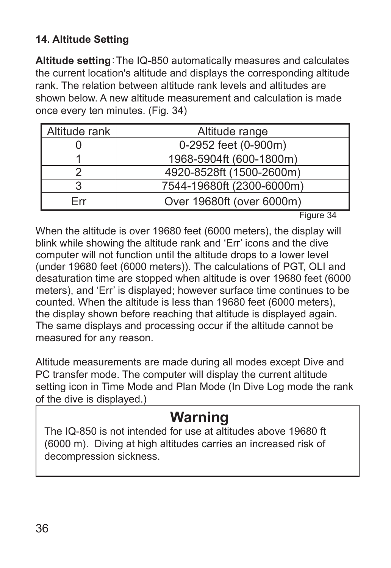# <span id="page-36-0"></span>**14. Altitude Setting**

**Altitude setting**:The IQ-850 automatically measures and calculates the current location's altitude and displays the corresponding altitude rank. The relation between altitude rank levels and altitudes are shown below. A new altitude measurement and calculation is made once every ten minutes. (Fig. 34)

| Altitude rank | Altitude range            |
|---------------|---------------------------|
|               | 0-2952 feet (0-900m)      |
|               | 1968-5904ft (600-1800m)   |
|               | 4920-8528ft (1500-2600m)  |
|               | 7544-19680ft (2300-6000m) |
| Frr           | Over 19680ft (over 6000m) |

Figure 34

When the altitude is over 19680 feet (6000 meters), the display will blink while showing the altitude rank and 'Err' icons and the dive computer will not function until the altitude drops to a lower level (under 19680 feet (6000 meters)). The calculations of PGT, OLI and desaturation time are stopped when altitude is over 19680 feet (6000 meters), and 'Err' is displayed; however surface time continues to be counted. When the altitude is less than 19680 feet (6000 meters), the display shown before reaching that altitude is displayed again. The same displays and processing occur if the altitude cannot be measured for any reason.

Altitude measurements are made during all modes except Dive and PC transfer mode. The computer will display the current altitude setting icon in Time Mode and Plan Mode (In Dive Log mode the rank of the dive is displayed.)

# **Warning**

The IQ-850 is not intended for use at altitudes above 19680 ft (6000 m). Diving at high altitudes carries an increased risk of decompression sickness.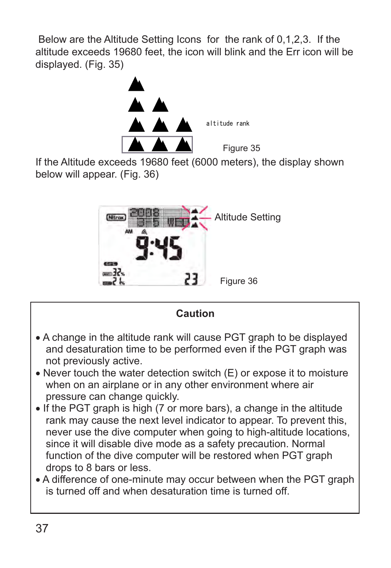Below are the Altitude Setting Icons for the rank of 0,1,2,3. If the altitude exceeds 19680 feet, the icon will blink and the Err icon will be displayed. (Fig. 35)



If the Altitude exceeds 19680 feet (6000 meters), the display shown below will appear. (Fig. 36)





• A difference of one-minute may occur between when the PGT graph is turned off and when desaturation time is turned off.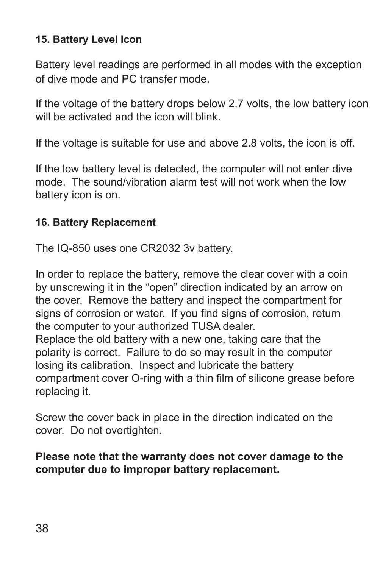## <span id="page-38-0"></span>**15. Battery Level Icon**

Battery level readings are performed in all modes with the exception of dive mode and PC transfer mode.

If the voltage of the battery drops below 2.7 volts, the low battery icon will be activated and the icon will blink.

If the voltage is suitable for use and above 2.8 volts, the icon is off.

If the low battery level is detected, the computer will not enter dive mode. The sound/vibration alarm test will not work when the low battery icon is on.

### **16. Battery Replacement**

The IQ-850 uses one CR2032 3v battery.

In order to replace the battery, remove the clear cover with a coin by unscrewing it in the "open" direction indicated by an arrow on the cover. Remove the battery and inspect the compartment for signs of corrosion or water. If you find signs of corrosion, return the computer to your authorized TUSA dealer. Replace the old battery with a new one, taking care that the polarity is correct. Failure to do so may result in the computer losing its calibration. Inspect and lubricate the battery compartment cover O-ring with a thin film of silicone grease before replacing it.

Screw the cover back in place in the direction indicated on the cover. Do not overtighten.

### **Please note that the warranty does not cover damage to the computer due to improper battery replacement.**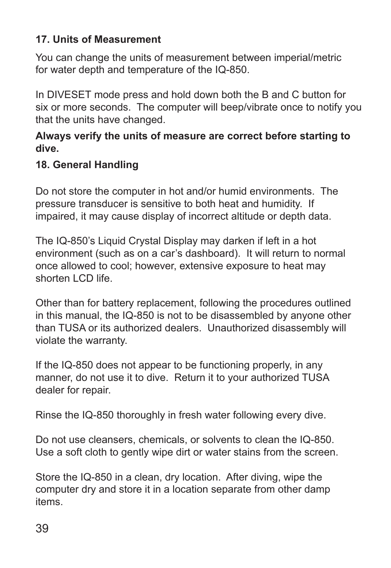### <span id="page-39-0"></span>**17. Units of Measurement**

You can change the units of measurement between imperial/metric for water depth and temperature of the IQ-850.

In DIVESET mode press and hold down both the B and C button for six or more seconds. The computer will beep/vibrate once to notify you that the units have changed.

### **Always verify the units of measure are correct before starting to dive.**

### **18. General Handling**

Do not store the computer in hot and/or humid environments. The pressure transducer is sensitive to both heat and humidity. If impaired, it may cause display of incorrect altitude or depth data.

The IQ-850's Liquid Crystal Display may darken if left in a hot environment (such as on a car's dashboard). It will return to normal once allowed to cool; however, extensive exposure to heat may shorten LCD life.

Other than for battery replacement, following the procedures outlined in this manual, the IQ-850 is not to be disassembled by anyone other than TUSA or its authorized dealers. Unauthorized disassembly will violate the warranty.

If the IQ-850 does not appear to be functioning properly, in any manner, do not use it to dive. Return it to your authorized TUSA dealer for repair.

Rinse the IQ-850 thoroughly in fresh water following every dive.

Do not use cleansers, chemicals, or solvents to clean the IQ-850. Use a soft cloth to gently wipe dirt or water stains from the screen.

Store the IQ-850 in a clean, dry location. After diving, wipe the computer dry and store it in a location separate from other damp items.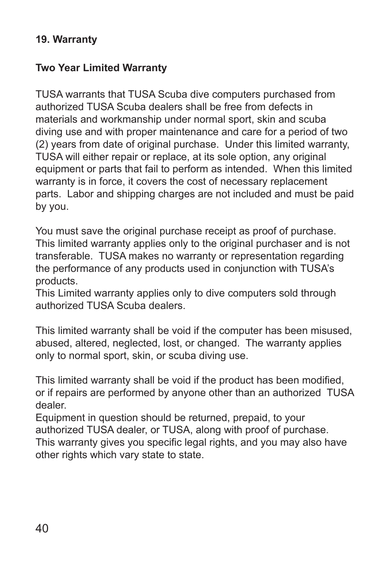### <span id="page-40-0"></span>**19. Warranty**

### **Two Year Limited Warranty**

TUSA warrants that TUSA Scuba dive computers purchased from authorized TUSA Scuba dealers shall be free from defects in materials and workmanship under normal sport, skin and scuba diving use and with proper maintenance and care for a period of two (2) years from date of original purchase. Under this limited warranty, TUSA will either repair or replace, at its sole option, any original equipment or parts that fail to perform as intended. When this limited warranty is in force, it covers the cost of necessary replacement parts. Labor and shipping charges are not included and must be paid by you.

You must save the original purchase receipt as proof of purchase. This limited warranty applies only to the original purchaser and is not transferable. TUSA makes no warranty or representation regarding the performance of any products used in conjunction with TUSA's products.

This Limited warranty applies only to dive computers sold through authorized TUSA Scuba dealers.

This limited warranty shall be void if the computer has been misused, abused, altered, neglected, lost, or changed. The warranty applies only to normal sport, skin, or scuba diving use.

This limited warranty shall be void if the product has been modified, or if repairs are performed by anyone other than an authorized TUSA dealer.

Equipment in question should be returned, prepaid, to your authorized TUSA dealer, or TUSA, along with proof of purchase. This warranty gives you specific legal rights, and you may also have other rights which vary state to state.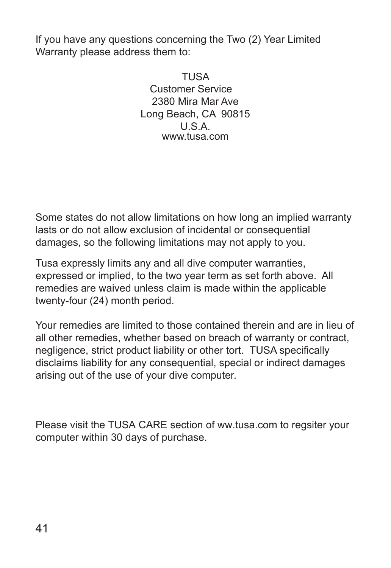If you have any questions concerning the Two (2) Year Limited Warranty please address them to:

> TUSA Customer Service 2380 Mira Mar Ave Long Beach, CA 90815 U.S.A. www.tusa.com

Some states do not allow limitations on how long an implied warranty lasts or do not allow exclusion of incidental or consequential damages, so the following limitations may not apply to you.

Tusa expressly limits any and all dive computer warranties, expressed or implied, to the two year term as set forth above. All remedies are waived unless claim is made within the applicable twenty-four (24) month period.

Your remedies are limited to those contained therein and are in lieu of all other remedies, whether based on breach of warranty or contract, negligence, strict product liability or other tort. TUSA specifically disclaims liability for any consequential, special or indirect damages arising out of the use of your dive computer.

Please visit the TUSA CARE section of ww.tusa.com to regsiter your computer within 30 days of purchase.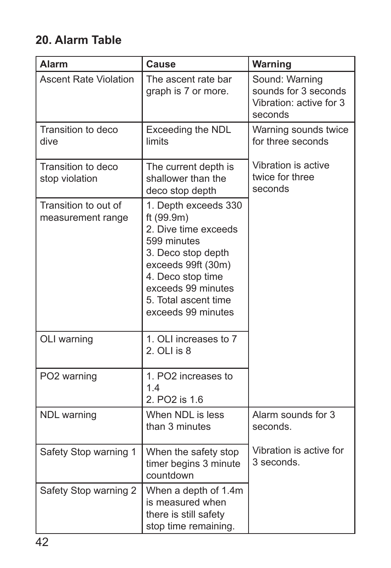# **20. Alarm Table**

| <b>Alarm</b>                              | <b>Cause</b>                                                                                                                                                                                                   | Warning                                                                      |
|-------------------------------------------|----------------------------------------------------------------------------------------------------------------------------------------------------------------------------------------------------------------|------------------------------------------------------------------------------|
| <b>Ascent Rate Violation</b>              | The ascent rate bar<br>graph is 7 or more.                                                                                                                                                                     | Sound: Warning<br>sounds for 3 seconds<br>Vibration: active for 3<br>seconds |
| Transition to deco<br>dive                | Exceeding the NDL<br>limits                                                                                                                                                                                    | Warning sounds twice<br>for three seconds                                    |
| Transition to deco<br>stop violation      | The current depth is<br>shallower than the<br>deco stop depth                                                                                                                                                  | Vibration is active<br>twice for three<br>seconds                            |
| Transition to out of<br>measurement range | 1. Depth exceeds 330<br>ft (99.9m)<br>2. Dive time exceeds<br>599 minutes<br>3. Deco stop depth<br>exceeds 99ft (30m)<br>4. Deco stop time<br>exceeds 99 minutes<br>5. Total ascent time<br>exceeds 99 minutes |                                                                              |
| OLI warning                               | 1. OLI increases to 7<br>2. OLI is 8                                                                                                                                                                           |                                                                              |
| PO2 warning                               | 1. PO2 increases to<br>1.4<br>2. PO2 is 1.6                                                                                                                                                                    |                                                                              |
| NDL warning                               | When NDL is less<br>than 3 minutes                                                                                                                                                                             | Alarm sounds for 3<br>seconds.                                               |
| Safety Stop warning 1                     | When the safety stop<br>timer begins 3 minute<br>countdown                                                                                                                                                     | Vibration is active for<br>3 seconds.                                        |
| Safety Stop warning 2                     | When a depth of 1.4m<br>is measured when<br>there is still safety<br>stop time remaining.                                                                                                                      |                                                                              |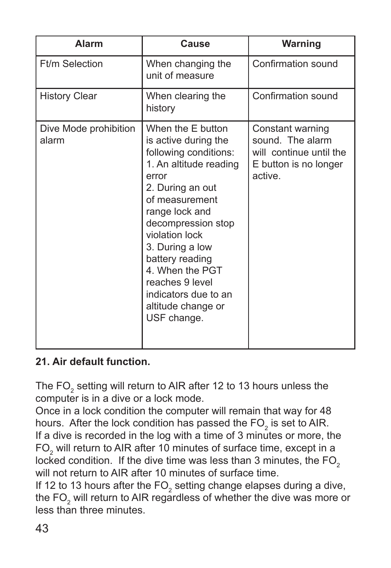| <b>Alarm</b>                   | Cause                                                                                                                                                                                                                                                                                                                                          | <b>Warning</b>                                                                                      |
|--------------------------------|------------------------------------------------------------------------------------------------------------------------------------------------------------------------------------------------------------------------------------------------------------------------------------------------------------------------------------------------|-----------------------------------------------------------------------------------------------------|
| Ft/m Selection                 | When changing the<br>unit of measure                                                                                                                                                                                                                                                                                                           | Confirmation sound                                                                                  |
| <b>History Clear</b>           | When clearing the<br>history                                                                                                                                                                                                                                                                                                                   | Confirmation sound                                                                                  |
| Dive Mode prohibition<br>alarm | When the E button<br>is active during the<br>following conditions:<br>1. An altitude reading<br>error<br>2. During an out<br>of measurement<br>range lock and<br>decompression stop<br>violation lock<br>3. During a low<br>battery reading<br>4. When the PGT<br>reaches 9 level<br>indicators due to an<br>altitude change or<br>USF change. | Constant warning<br>sound. The alarm<br>will continue until the<br>E button is no longer<br>active. |

## **21. Air default function.**

The FO $_{\tiny 2}$  setting will return to AIR after 12 to 13 hours unless the computer is in a dive or a lock mode.

Once in a lock condition the computer will remain that way for 48 hours. After the lock condition has passed the FO<sub>2</sub> is set to AIR. If a dive is recorded in the log with a time of 3 minutes or more, the FO<sub>2</sub> will return to AIR after 10 minutes of surface time, except in a locked condition. If the dive time was less than 3 minutes, the  $FO<sub>2</sub>$ will not return to AIR after 10 minutes of surface time.

If 12 to 13 hours after the FO<sub>2</sub> setting change elapses during a dive, the FO $_{\tiny 2}$  will return to AIR regardless of whether the dive was more or less than three minutes.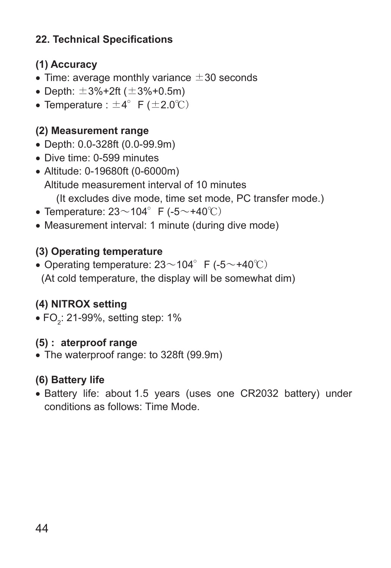# <span id="page-44-0"></span>**22. Technical Specifications**

# **(1) Accuracy**

- Time: average monthly variance  $\pm 30$  seconds
- Depth:  $\pm 3\% + 2$ ft ( $\pm 3\% + 0.5$ m)
- Temperature :  $\pm 4^{\circ}$  F ( $\pm 2.0^{\circ}$ C)

# **(2) Measurement range**

- Depth: 0.0-328ft (0.0-99.9m)
- Dive time: 0-599 minutes
- Altitude: 0-19680ft (0-6000m) Altitude measurement interval of 10 minutes (It excludes dive mode, time set mode, PC transfer mode.)
- Temperature:  $23 \sim 104^\circ$  F (-5 $\sim$ +40°C)
- Measurement interval: 1 minute (during dive mode)

# **(3) Operating temperature**

• Operating temperature:  $23 \sim 104^\circ$  F (-5 $\sim$ +40°C) (At cold temperature, the display will be somewhat dim)

# **(4) NITROX setting**

 $\bullet$  FO $_2$ : 21-99%, setting step: 1%

# **(5) :aterproof range**

• The waterproof range: to 328ft (99.9m)

# **(6) Battery life**

• Battery life: about 1.5 years (uses one CR2032 battery) under conditions as follows: Time Mode.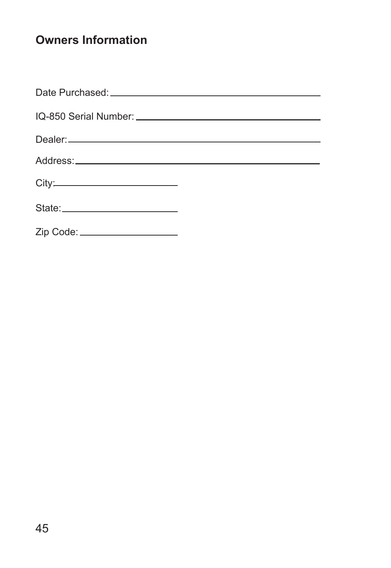# **Owners Information**

| State: __________________________ |  |
|-----------------------------------|--|
| Zip Code: _____________________   |  |